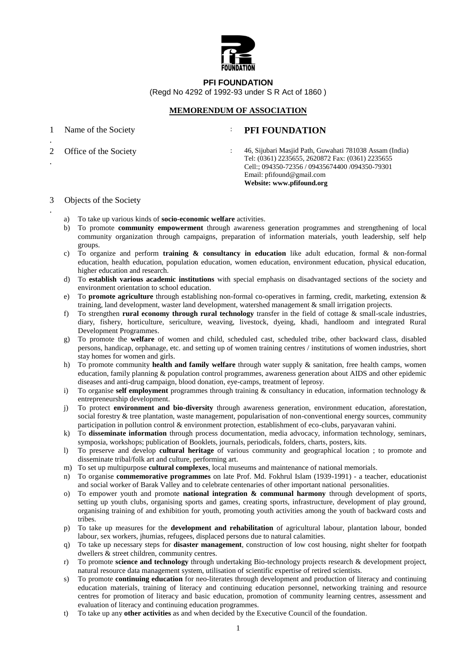

**PFI FOUNDATION** 

(Regd No 4292 of 1992-93 under S R Act of 1860 )

## **MEMORENDUM OF ASSOCIATION**

1

.

.

.

## Name of the Society **: PFI FOUNDATION**

2

Office of the Society : 46, Sijubari Masjid Path, Guwahati 781038 Assam (India) Tel: (0361) 2235655, 2620872 Fax: (0361) 2235655 Cell:; 094350-72356 / 09435674400 /094350-79301 Email: pfifound@gmail.com **Website: www.pfifound.org** 

- 3 Objects of the Society
	- a) To take up various kinds of **socio-economic welfare** activities.
	- b) To promote **community empowerment** through awareness generation programmes and strengthening of local community organization through campaigns, preparation of information materials, youth leadership, self help groups.
	- c) To organize and perform **training & consultancy in education** like adult education, formal & non-formal education, health education, population education, women education, environment education, physical education, higher education and research.
	- d) To **establish various academic institutions** with special emphasis on disadvantaged sections of the society and environment orientation to school education.
	- e) To **promote agriculture** through establishing non-formal co-operatives in farming, credit, marketing, extension & training, land development, waster land development, watershed management & small irrigation projects.
	- f) To strengthen **rural economy through rural technology** transfer in the field of cottage & small-scale industries, diary, fishery, horticulture, sericulture, weaving, livestock, dyeing, khadi, handloom and integrated Rural Development Programmes.
	- g) To promote the **welfare** of women and child, scheduled cast, scheduled tribe, other backward class, disabled persons, handicap, orphanage, etc. and setting up of women training centres / institutions of women industries, short stay homes for women and girls.
	- h) To promote community **health and family welfare** through water supply & sanitation, free health camps, women education, family planning & population control programmes, awareness generation about AIDS and other epidemic diseases and anti-drug campaign, blood donation, eye-camps, treatment of leprosy.
	- i) To organise **self employment** programmes through training & consultancy in education, information technology & entrepreneurship development.
	- j) To protect **environment and bio-diversity** through awareness generation, environment education, aforestation, social forestry & tree plantation, waste management, popularisation of non-conventional energy sources, community participation in pollution control & environment protection, establishment of eco-clubs, paryavaran vahini.
	- k) To **disseminate information** through process documentation, media advocacy, information technology, seminars, symposia, workshops; publication of Booklets, journals, periodicals, folders, charts, posters, kits.
	- l) To preserve and develop **cultural heritage** of various community and geographical location ; to promote and disseminate tribal/folk art and culture, performing art.
	- m) To set up multipurpose **cultural complexes**, local museums and maintenance of national memorials.
	- n) To organise **commemorative programmes** on late Prof. Md. Fokhrul Islam (1939-1991) a teacher, educationist and social worker of Barak Valley and to celebrate centenaries of other important national personalities.
	- o) To empower youth and promote **national integration & communal harmony** through development of sports, setting up youth clubs, organising sports and games, creating sports, infrastructure, development of play ground, organising training of and exhibition for youth, promoting youth activities among the youth of backward costs and tribes.
	- p) To take up measures for the **development and rehabilitation** of agricultural labour, plantation labour, bonded labour, sex workers, jhumias, refugees, displaced persons due to natural calamities.
	- q) To take up necessary steps for **disaster management**, construction of low cost housing, night shelter for footpath dwellers & street children, community centres.
	- r) To promote **science and technology** through undertaking Bio-technology projects research & development project, natural resource data management system, utilisation of scientific expertise of retired scientists.
	- s) To promote **continuing education** for neo-literates through development and production of literacy and continuing education materials, training of literacy and continuing education personnel, networking training and resource centres for promotion of literacy and basic education, promotion of community learning centres, assessment and evaluation of literacy and continuing education programmes.
	- t) To take up any **other activities** as and when decided by the Executive Council of the foundation.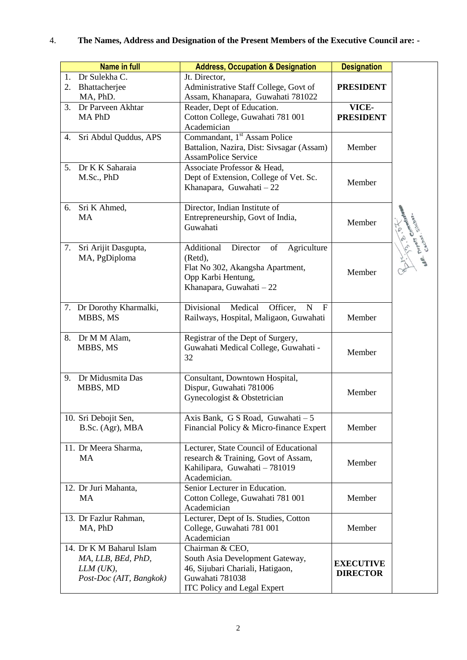## 4. **The Names, Address and Designation of the Present Members of the Executive Council are: -**

| <b>Name in full</b>                                                                      | <b>Address, Occupation &amp; Designation</b>                                                                                                    | <b>Designation</b>                  |             |
|------------------------------------------------------------------------------------------|-------------------------------------------------------------------------------------------------------------------------------------------------|-------------------------------------|-------------|
| Dr Sulekha C.<br>$1_{-}$<br>2.<br>Bhattacherjee<br>MA, PhD.                              | Jt. Director,<br>Administrative Staff College, Govt of<br>Assam, Khanapara, Guwahati 781022                                                     | <b>PRESIDENT</b>                    |             |
| Dr Parveen Akhtar<br>3.<br>MA PhD                                                        | Reader, Dept of Education.<br>Cotton College, Guwahati 781 001<br>Academician                                                                   | VICE-<br><b>PRESIDENT</b>           |             |
| Sri Abdul Quddus, APS<br>4.                                                              | Commandant, 1 <sup>st</sup> Assam Police<br>Battalion, Nazira, Dist: Sivsagar (Assam)<br><b>AssamPolice Service</b>                             | Member                              |             |
| Dr K K Saharaia<br>5.<br>M.Sc., PhD                                                      | Associate Professor & Head,<br>Dept of Extension, College of Vet. Sc.<br>Khanapara, Guwahati - 22                                               | Member                              |             |
| 6. Sri K Ahmed,<br><b>MA</b>                                                             | Director, Indian Institute of<br>Entrepreneurship, Govt of India,<br>Guwahati                                                                   | Member                              |             |
| Sri Arijit Dasgupta,<br>7.<br>MA, PgDiploma                                              | Additional<br>Director<br>of<br>Agriculture<br>(Retd),<br>Flat No 302, Akangsha Apartment,<br>Opp Karbi Hentung,<br>Khanapara, Guwahati - 22    | Member                              | L. Depara - |
| 7. Dr Dorothy Kharmalki,<br>MBBS, MS                                                     | Divisional<br>Medical<br>Officer,<br>N<br>$\mathbf{F}$<br>Railways, Hospital, Maligaon, Guwahati                                                | Member                              |             |
| 8. Dr M M Alam,<br>MBBS, MS                                                              | Registrar of the Dept of Surgery,<br>Guwahati Medical College, Guwahati -<br>32                                                                 | Member                              |             |
| Dr Midusmita Das<br>9.<br>MBBS, MD                                                       | Consultant, Downtown Hospital,<br>Dispur, Guwahati 781006<br>Gynecologist & Obstetrician                                                        | Member                              |             |
| 10. Sri Debojit Sen,<br>B.Sc. (Agr), MBA                                                 | Axis Bank, G S Road, Guwahati - 5<br>Financial Policy & Micro-finance Expert                                                                    | Member                              |             |
| 11. Dr Meera Sharma,<br>MA                                                               | Lecturer, State Council of Educational<br>research & Training, Govt of Assam,<br>Kahilipara, Guwahati - 781019<br>Academician.                  | Member                              |             |
| 12. Dr Juri Mahanta,<br>MA                                                               | Senior Lecturer in Education.<br>Cotton College, Guwahati 781 001<br>Academician                                                                | Member                              |             |
| 13. Dr Fazlur Rahman,<br>MA, PhD                                                         | Lecturer, Dept of Is. Studies, Cotton<br>College, Guwahati 781 001<br>Academician                                                               | Member                              |             |
| 14. Dr K M Baharul Islam<br>MA, LLB, BEd, PhD,<br>$LLM$ (UK),<br>Post-Doc (AIT, Bangkok) | Chairman & CEO,<br>South Asia Development Gateway,<br>46, Sijubari Chariali, Hatigaon,<br>Guwahati 781038<br><b>ITC Policy and Legal Expert</b> | <b>EXECUTIVE</b><br><b>DIRECTOR</b> |             |